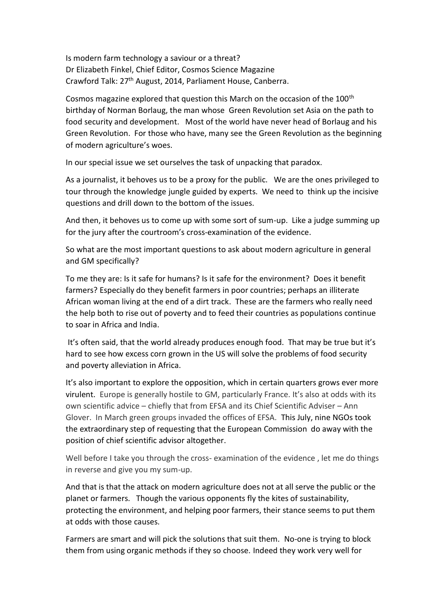Is modern farm technology a saviour or a threat? Dr Elizabeth Finkel, Chief Editor, Cosmos Science Magazine Crawford Talk: 27th August, 2014, Parliament House, Canberra.

Cosmos magazine explored that question this March on the occasion of the 100<sup>th</sup> birthday of Norman Borlaug, the man whose Green Revolution set Asia on the path to food security and development. Most of the world have never head of Borlaug and his Green Revolution. For those who have, many see the Green Revolution as the beginning of modern agriculture's woes.

In our special issue we set ourselves the task of unpacking that paradox.

As a journalist, it behoves us to be a proxy for the public. We are the ones privileged to tour through the knowledge jungle guided by experts. We need to think up the incisive questions and drill down to the bottom of the issues.

And then, it behoves us to come up with some sort of sum-up. Like a judge summing up for the jury after the courtroom's cross-examination of the evidence.

So what are the most important questions to ask about modern agriculture in general and GM specifically?

To me they are: Is it safe for humans? Is it safe for the environment? Does it benefit farmers? Especially do they benefit farmers in poor countries; perhaps an illiterate African woman living at the end of a dirt track. These are the farmers who really need the help both to rise out of poverty and to feed their countries as populations continue to soar in Africa and India.

It's often said, that the world already produces enough food. That may be true but it's hard to see how excess corn grown in the US will solve the problems of food security and poverty alleviation in Africa.

It's also important to explore the opposition, which in certain quarters grows ever more virulent. Europe is generally hostile to GM, particularly France. It's also at odds with its own scientific advice – chiefly that from EFSA and its Chief Scientific Adviser – Ann Glover. In March green groups invaded the offices of EFSA. This July, nine NGOs took the extraordinary step of requesting that the European Commission do away with the position of chief scientific advisor altogether.

Well before I take you through the cross- examination of the evidence , let me do things in reverse and give you my sum-up.

And that is that the attack on modern agriculture does not at all serve the public or the planet or farmers. Though the various opponents fly the kites of sustainability, protecting the environment, and helping poor farmers, their stance seems to put them at odds with those causes.

Farmers are smart and will pick the solutions that suit them. No-one is trying to block them from using organic methods if they so choose. Indeed they work very well for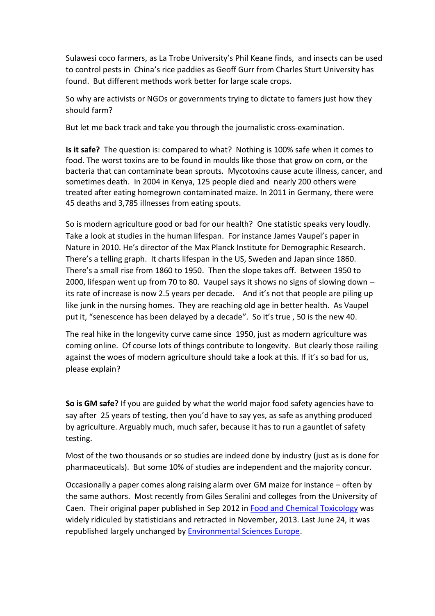Sulawesi coco farmers, as La Trobe University's Phil Keane finds, and insects can be used to control pests in China's rice paddies as Geoff Gurr from Charles Sturt University has found. But different methods work better for large scale crops.

So why are activists or NGOs or governments trying to dictate to famers just how they should farm?

But let me back track and take you through the journalistic cross-examination.

**Is it safe?** The question is: compared to what? Nothing is 100% safe when it comes to food. The worst toxins are to be found in moulds like those that grow on corn, or the bacteria that can contaminate bean sprouts. Mycotoxins cause acute illness, cancer, and sometimes death. In 2004 in Kenya, 125 people died and nearly 200 others were treated after eating homegrown contaminated maize. In 2011 in Germany, there were 45 deaths and 3,785 illnesses from eating spouts.

So is modern agriculture good or bad for our health? One statistic speaks very loudly. Take a look at studies in the human lifespan. For instance James Vaupel's paper in Nature in 2010. He's director of the Max Planck Institute for Demographic Research. There's a telling graph. It charts lifespan in the US, Sweden and Japan since 1860. There's a small rise from 1860 to 1950. Then the slope takes off. Between 1950 to 2000, lifespan went up from 70 to 80. Vaupel says it shows no signs of slowing down – its rate of increase is now 2.5 years per decade. And it's not that people are piling up like junk in the nursing homes. They are reaching old age in better health. As Vaupel put it, "senescence has been delayed by a decade". So it's true , 50 is the new 40.

The real hike in the longevity curve came since 1950, just as modern agriculture was coming online. Of course lots of things contribute to longevity. But clearly those railing against the woes of modern agriculture should take a look at this. If it's so bad for us, please explain?

**So is GM safe?** If you are guided by what the world major food safety agencies have to say after 25 years of testing, then you'd have to say yes, as safe as anything produced by agriculture. Arguably much, much safer, because it has to run a gauntlet of safety testing.

Most of the two thousands or so studies are indeed done by industry (just as is done for pharmaceuticals). But some 10% of studies are independent and the majority concur.

Occasionally a paper comes along raising alarm over GM maize for instance – often by the same authors. Most recently from Giles Seralini and colleges from the University of Caen. Their original paper published in Sep 2012 in [Food and Chemical Toxicology](http://en.wikipedia.org/wiki/Food_and_Chemical_Toxicology) was widely ridiculed by statisticians and retracted in November, 2013. Last June 24, it was republished largely unchanged by **Environmental Sciences Europe**.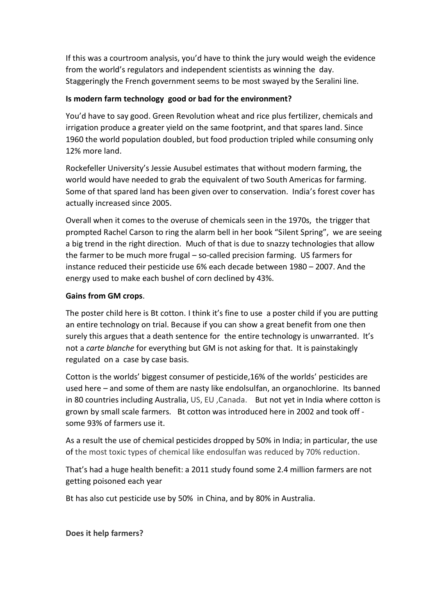If this was a courtroom analysis, you'd have to think the jury would weigh the evidence from the world's regulators and independent scientists as winning the day. Staggeringly the French government seems to be most swayed by the Seralini line.

## **Is modern farm technology good or bad for the environment?**

You'd have to say good. Green Revolution wheat and rice plus fertilizer, chemicals and irrigation produce a greater yield on the same footprint, and that spares land. Since 1960 the world population doubled, but food production tripled while consuming only 12% more land.

Rockefeller University's Jessie Ausubel estimates that without modern farming, the world would have needed to grab the equivalent of two South Americas for farming. Some of that spared land has been given over to conservation. India's forest cover has actually increased since 2005.

Overall when it comes to the overuse of chemicals seen in the 1970s, the trigger that prompted Rachel Carson to ring the alarm bell in her book "Silent Spring", we are seeing a big trend in the right direction. Much of that is due to snazzy technologies that allow the farmer to be much more frugal – so-called precision farming. US farmers for instance reduced their pesticide use 6% each decade between 1980 – 2007. And the energy used to make each bushel of corn declined by 43%.

## **Gains from GM crops**.

The poster child here is Bt cotton. I think it's fine to use a poster child if you are putting an entire technology on trial. Because if you can show a great benefit from one then surely this argues that a death sentence for the entire technology is unwarranted. It's not a *carte blanche* for everything but GM is not asking for that. It is painstakingly regulated on a case by case basis.

Cotton is the worlds' biggest consumer of pesticide,16% of the worlds' pesticides are used here – and some of them are nasty like endolsulfan, an organochlorine. Its banned in 80 countries including Australia, US, EU ,Canada. But not yet in India where cotton is grown by small scale farmers. Bt cotton was introduced here in 2002 and took off some 93% of farmers use it.

As a result the use of chemical pesticides dropped by 50% in India; in particular, the use of the most toxic types of chemical like endosulfan was reduced by 70% reduction.

That's had a huge health benefit: a 2011 study found some 2.4 million farmers are not getting poisoned each year

Bt has also cut pesticide use by 50% in China, and by 80% in Australia.

**Does it help farmers?**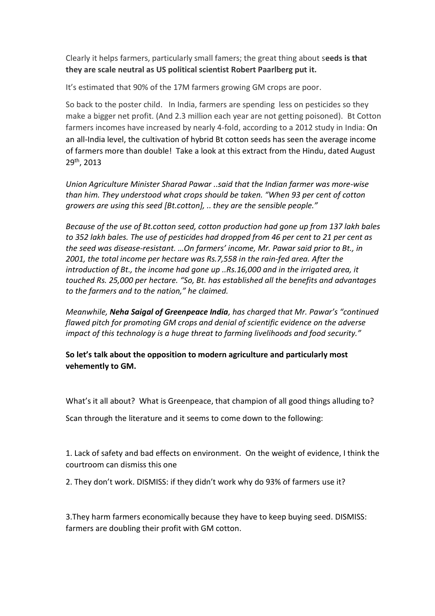Clearly it helps farmers, particularly small famers; the great thing about s**eeds is that they are scale neutral as US political scientist Robert Paarlberg put it.**

It's estimated that 90% of the 17M farmers growing GM crops are poor.

So back to the poster child. In India, farmers are spending less on pesticides so they make a bigger net profit. (And 2.3 million each year are not getting poisoned). Bt Cotton farmers incomes have increased by nearly 4-fold, according to a 2012 study in India: On an all-India level, the cultivation of hybrid Bt cotton seeds has seen the average income of farmers more than double! Take a look at this extract from the Hindu, dated August 29th , 2013

*Union Agriculture Minister Sharad Pawar ..said that the Indian farmer was more-wise than him. They understood what crops should be taken. "When 93 per cent of cotton growers are using this seed [Bt.cotton], .. they are the sensible people."*

*Because of the use of Bt.cotton seed, cotton production had gone up from 137 lakh bales to 352 lakh bales. The use of pesticides had dropped from 46 per cent to 21 per cent as the seed was disease-resistant. …On farmers' income, Mr. Pawar said prior to Bt., in 2001, the total income per hectare was Rs.7,558 in the rain-fed area. After the introduction of Bt., the income had gone up ..Rs.16,000 and in the irrigated area, it touched Rs. 25,000 per hectare. "So, Bt. has established all the benefits and advantages to the farmers and to the nation," he claimed.*

*Meanwhile, Neha Saigal of Greenpeace India, has charged that Mr. Pawar's "continued flawed pitch for promoting GM crops and denial of scientific evidence on the adverse impact of this technology is a huge threat to farming livelihoods and food security."*

**So let's talk about the opposition to modern agriculture and particularly most vehemently to GM.** 

What's it all about? What is Greenpeace, that champion of all good things alluding to?

Scan through the literature and it seems to come down to the following:

1. Lack of safety and bad effects on environment. On the weight of evidence, I think the courtroom can dismiss this one

2. They don't work. DISMISS: if they didn't work why do 93% of farmers use it?

3.They harm farmers economically because they have to keep buying seed. DISMISS: farmers are doubling their profit with GM cotton.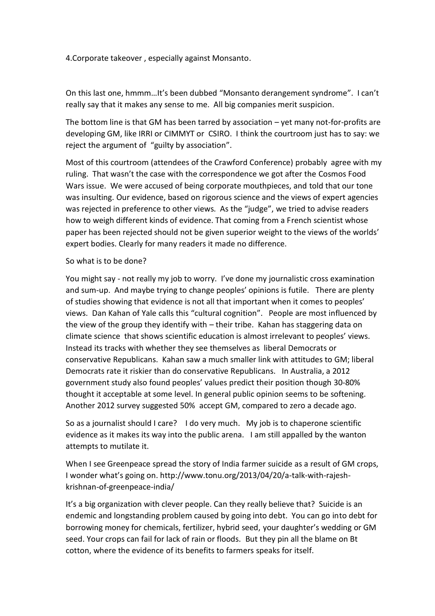4.Corporate takeover , especially against Monsanto.

On this last one, hmmm…It's been dubbed "Monsanto derangement syndrome". I can't really say that it makes any sense to me. All big companies merit suspicion.

The bottom line is that GM has been tarred by association  $-$  yet many not-for-profits are developing GM, like IRRI or CIMMYT or CSIRO. I think the courtroom just has to say: we reject the argument of "guilty by association".

Most of this courtroom (attendees of the Crawford Conference) probably agree with my ruling. That wasn't the case with the correspondence we got after the Cosmos Food Wars issue. We were accused of being corporate mouthpieces, and told that our tone was insulting. Our evidence, based on rigorous science and the views of expert agencies was rejected in preference to other views. As the "judge", we tried to advise readers how to weigh different kinds of evidence. That coming from a French scientist whose paper has been rejected should not be given superior weight to the views of the worlds' expert bodies. Clearly for many readers it made no difference.

## So what is to be done?

You might say - not really my job to worry. I've done my journalistic cross examination and sum-up. And maybe trying to change peoples' opinions is futile. There are plenty of studies showing that evidence is not all that important when it comes to peoples' views. Dan Kahan of Yale calls this "cultural cognition". People are most influenced by the view of the group they identify with – their tribe. Kahan has staggering data on climate science that shows scientific education is almost irrelevant to peoples' views. Instead its tracks with whether they see themselves as liberal Democrats or conservative Republicans. Kahan saw a much smaller link with attitudes to GM; liberal Democrats rate it riskier than do conservative Republicans. In Australia, a 2012 government study also found peoples' values predict their position though 30-80% thought it acceptable at some level. In general public opinion seems to be softening. Another 2012 survey suggested 50% accept GM, compared to zero a decade ago.

So as a journalist should I care? I do very much. My job is to chaperone scientific evidence as it makes its way into the public arena. I am still appalled by the wanton attempts to mutilate it.

When I see Greenpeace spread the story of India farmer suicide as a result of GM crops, I wonder what's going on. http://www.tonu.org/2013/04/20/a-talk-with-rajeshkrishnan-of-greenpeace-india/

It's a big organization with clever people. Can they really believe that? Suicide is an endemic and longstanding problem caused by going into debt. You can go into debt for borrowing money for chemicals, fertilizer, hybrid seed, your daughter's wedding or GM seed. Your crops can fail for lack of rain or floods. But they pin all the blame on Bt cotton, where the evidence of its benefits to farmers speaks for itself.